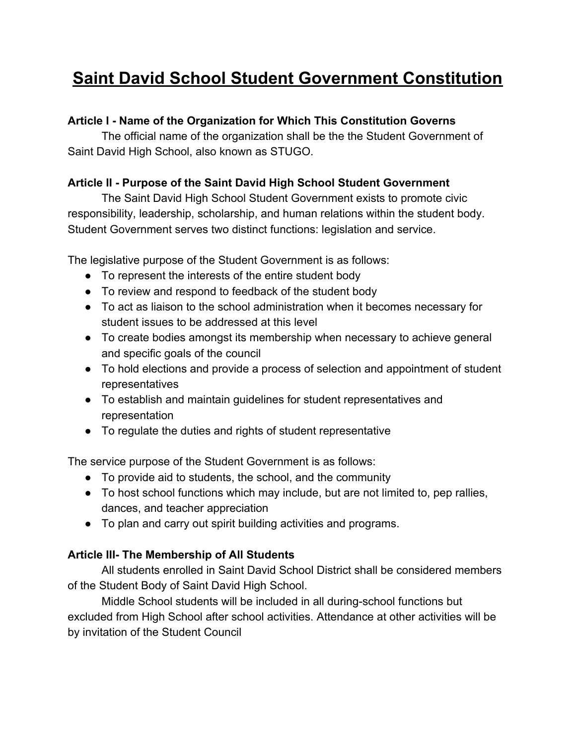# **Saint David School Student Government Constitution**

## **Article I - Name of the Organization for Which This Constitution Governs**

The official name of the organization shall be the the Student Government of Saint David High School, also known as STUGO.

## **Article II - Purpose of the Saint David High School Student Government**

The Saint David High School Student Government exists to promote civic responsibility, leadership, scholarship, and human relations within the student body. Student Government serves two distinct functions: legislation and service.

The legislative purpose of the Student Government is as follows:

- To represent the interests of the entire student body
- To review and respond to feedback of the student body
- To act as liaison to the school administration when it becomes necessary for student issues to be addressed at this level
- To create bodies amongst its membership when necessary to achieve general and specific goals of the council
- To hold elections and provide a process of selection and appointment of student representatives
- To establish and maintain guidelines for student representatives and representation
- To regulate the duties and rights of student representative

The service purpose of the Student Government is as follows:

- To provide aid to students, the school, and the community
- To host school functions which may include, but are not limited to, pep rallies, dances, and teacher appreciation
- To plan and carry out spirit building activities and programs.

# **Article III- The Membership of All Students**

All students enrolled in Saint David School District shall be considered members of the Student Body of Saint David High School.

Middle School students will be included in all during-school functions but excluded from High School after school activities. Attendance at other activities will be by invitation of the Student Council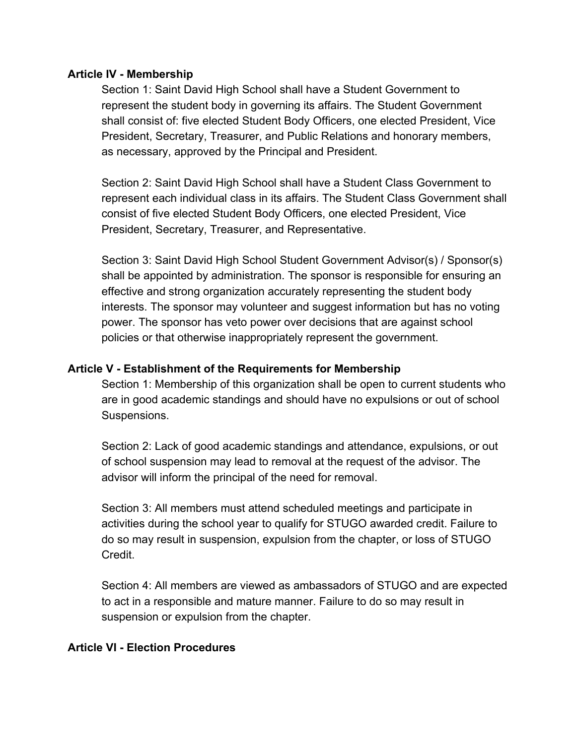#### **Article IV - Membership**

Section 1: Saint David High School shall have a Student Government to represent the student body in governing its affairs. The Student Government shall consist of: five elected Student Body Officers, one elected President, Vice President, Secretary, Treasurer, and Public Relations and honorary members, as necessary, approved by the Principal and President.

Section 2: Saint David High School shall have a Student Class Government to represent each individual class in its affairs. The Student Class Government shall consist of five elected Student Body Officers, one elected President, Vice President, Secretary, Treasurer, and Representative.

Section 3: Saint David High School Student Government Advisor(s) / Sponsor(s) shall be appointed by administration. The sponsor is responsible for ensuring an effective and strong organization accurately representing the student body interests. The sponsor may volunteer and suggest information but has no voting power. The sponsor has veto power over decisions that are against school policies or that otherwise inappropriately represent the government.

#### **Article V - Establishment of the Requirements for Membership**

Section 1: Membership of this organization shall be open to current students who are in good academic standings and should have no expulsions or out of school Suspensions.

Section 2: Lack of good academic standings and attendance, expulsions, or out of school suspension may lead to removal at the request of the advisor. The advisor will inform the principal of the need for removal.

Section 3: All members must attend scheduled meetings and participate in activities during the school year to qualify for STUGO awarded credit. Failure to do so may result in suspension, expulsion from the chapter, or loss of STUGO Credit.

Section 4: All members are viewed as ambassadors of STUGO and are expected to act in a responsible and mature manner. Failure to do so may result in suspension or expulsion from the chapter.

#### **Article VI - Election Procedures**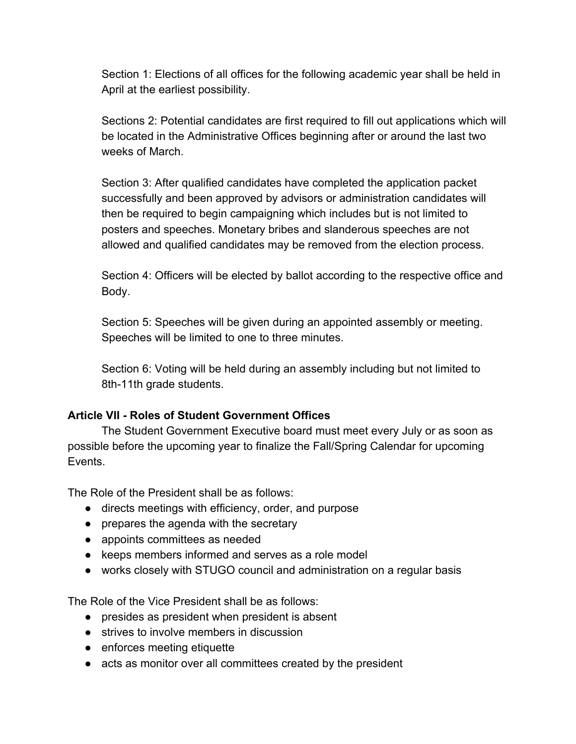Section 1: Elections of all offices for the following academic year shall be held in April at the earliest possibility.

Sections 2: Potential candidates are first required to fill out applications which will be located in the Administrative Offices beginning after or around the last two weeks of March.

Section 3: After qualified candidates have completed the application packet successfully and been approved by advisors or administration candidates will then be required to begin campaigning which includes but is not limited to posters and speeches. Monetary bribes and slanderous speeches are not allowed and qualified candidates may be removed from the election process.

Section 4: Officers will be elected by ballot according to the respective office and Body.

Section 5: Speeches will be given during an appointed assembly or meeting. Speeches will be limited to one to three minutes.

Section 6: Voting will be held during an assembly including but not limited to 8th-11th grade students.

## **Article VII - Roles of Student Government Offices**

The Student Government Executive board must meet every July or as soon as possible before the upcoming year to finalize the Fall/Spring Calendar for upcoming Events.

The Role of the President shall be as follows:

- directs meetings with efficiency, order, and purpose
- prepares the agenda with the secretary
- appoints committees as needed
- keeps members informed and serves as a role model
- works closely with STUGO council and administration on a regular basis

The Role of the Vice President shall be as follows:

- presides as president when president is absent
- strives to involve members in discussion
- enforces meeting etiquette
- acts as monitor over all committees created by the president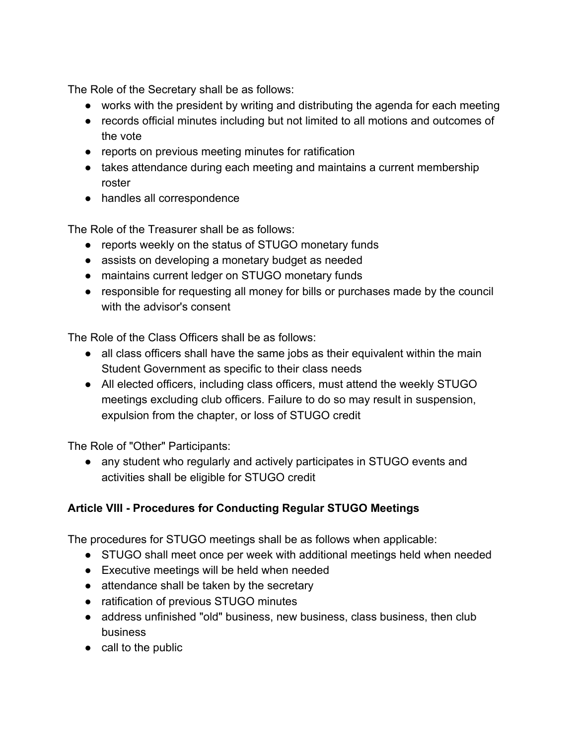The Role of the Secretary shall be as follows:

- works with the president by writing and distributing the agenda for each meeting
- records official minutes including but not limited to all motions and outcomes of the vote
- reports on previous meeting minutes for ratification
- takes attendance during each meeting and maintains a current membership roster
- handles all correspondence

The Role of the Treasurer shall be as follows:

- reports weekly on the status of STUGO monetary funds
- assists on developing a monetary budget as needed
- maintains current ledger on STUGO monetary funds
- responsible for requesting all money for bills or purchases made by the council with the advisor's consent

The Role of the Class Officers shall be as follows:

- all class officers shall have the same jobs as their equivalent within the main Student Government as specific to their class needs
- All elected officers, including class officers, must attend the weekly STUGO meetings excluding club officers. Failure to do so may result in suspension, expulsion from the chapter, or loss of STUGO credit

The Role of "Other" Participants:

● any student who regularly and actively participates in STUGO events and activities shall be eligible for STUGO credit

# **Article VIII - Procedures for Conducting Regular STUGO Meetings**

The procedures for STUGO meetings shall be as follows when applicable:

- STUGO shall meet once per week with additional meetings held when needed
- Executive meetings will be held when needed
- attendance shall be taken by the secretary
- ratification of previous STUGO minutes
- address unfinished "old" business, new business, class business, then club business
- call to the public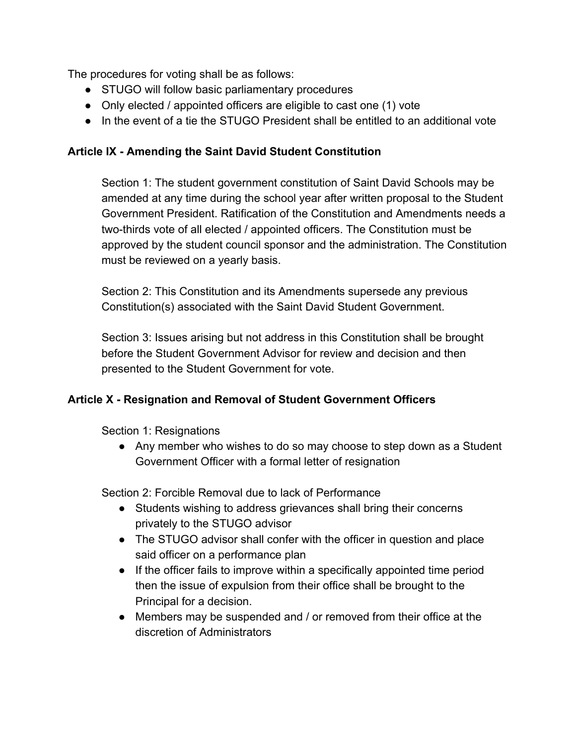The procedures for voting shall be as follows:

- STUGO will follow basic parliamentary procedures
- Only elected / appointed officers are eligible to cast one (1) vote
- In the event of a tie the STUGO President shall be entitled to an additional vote

#### **Article IX - Amending the Saint David Student Constitution**

Section 1: The student government constitution of Saint David Schools may be amended at any time during the school year after written proposal to the Student Government President. Ratification of the Constitution and Amendments needs a two-thirds vote of all elected / appointed officers. The Constitution must be approved by the student council sponsor and the administration. The Constitution must be reviewed on a yearly basis.

Section 2: This Constitution and its Amendments supersede any previous Constitution(s) associated with the Saint David Student Government.

Section 3: Issues arising but not address in this Constitution shall be brought before the Student Government Advisor for review and decision and then presented to the Student Government for vote.

## **Article X - Resignation and Removal of Student Government Officers**

Section 1: Resignations

• Any member who wishes to do so may choose to step down as a Student Government Officer with a formal letter of resignation

Section 2: Forcible Removal due to lack of Performance

- Students wishing to address grievances shall bring their concerns privately to the STUGO advisor
- The STUGO advisor shall confer with the officer in question and place said officer on a performance plan
- If the officer fails to improve within a specifically appointed time period then the issue of expulsion from their office shall be brought to the Principal for a decision.
- Members may be suspended and / or removed from their office at the discretion of Administrators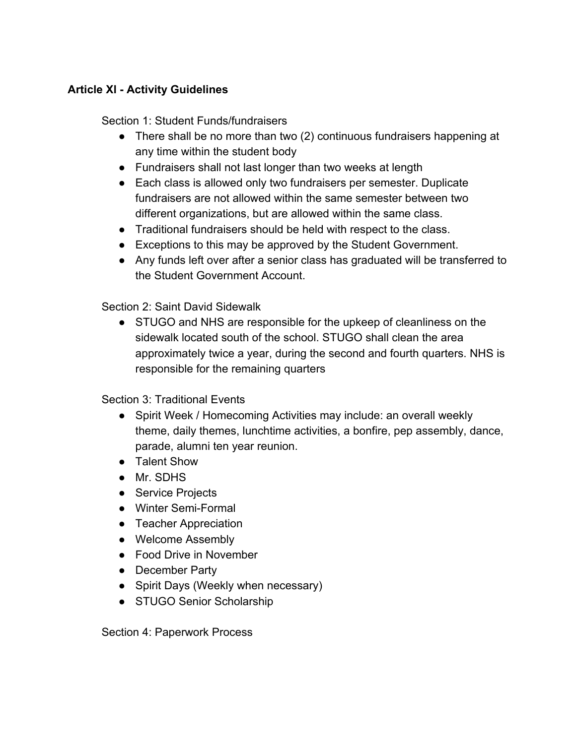#### **Article Xl - Activity Guidelines**

Section 1: Student Funds/fundraisers

- There shall be no more than two (2) continuous fundraisers happening at any time within the student body
- Fundraisers shall not last longer than two weeks at length
- Each class is allowed only two fundraisers per semester. Duplicate fundraisers are not allowed within the same semester between two different organizations, but are allowed within the same class.
- Traditional fundraisers should be held with respect to the class.
- Exceptions to this may be approved by the Student Government.
- Any funds left over after a senior class has graduated will be transferred to the Student Government Account.

Section 2: Saint David Sidewalk

• STUGO and NHS are responsible for the upkeep of cleanliness on the sidewalk located south of the school. STUGO shall clean the area approximately twice a year, during the second and fourth quarters. NHS is responsible for the remaining quarters

Section 3: Traditional Events

- Spirit Week / Homecoming Activities may include: an overall weekly theme, daily themes, lunchtime activities, a bonfire, pep assembly, dance, parade, alumni ten year reunion.
- Talent Show
- Mr. SDHS
- Service Projects
- Winter Semi-Formal
- Teacher Appreciation
- Welcome Assembly
- Food Drive in November
- December Party
- Spirit Days (Weekly when necessary)
- STUGO Senior Scholarship

Section 4: Paperwork Process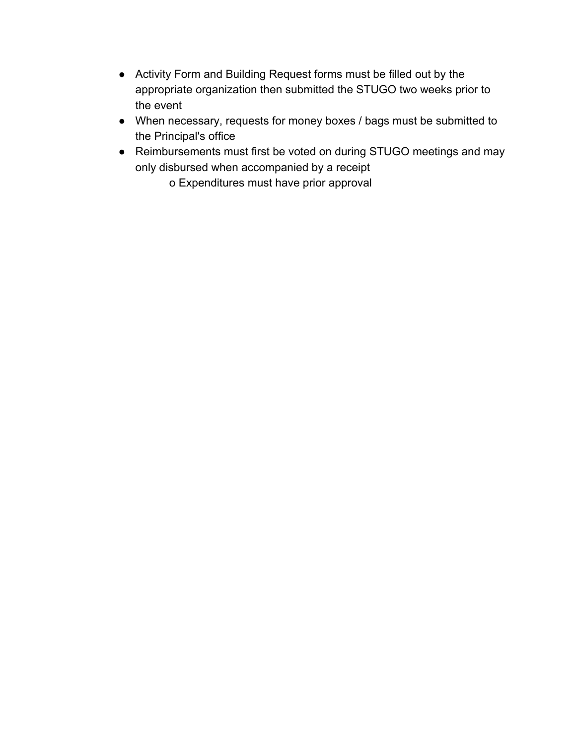- Activity Form and Building Request forms must be filled out by the appropriate organization then submitted the STUGO two weeks prior to the event
- When necessary, requests for money boxes / bags must be submitted to the Principal's office
- Reimbursements must first be voted on during STUGO meetings and may only disbursed when accompanied by a receipt

o Expenditures must have prior approval